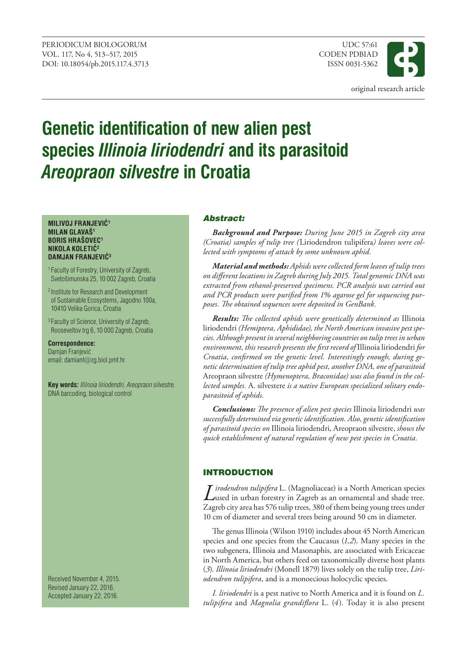

# **Genetic identification of new alien pest species** *Illinoia liriodendri* **and its parasitoid**  *Areopraon silvestre* **in Croatia**

#### **MILIVOJ FRANJEVIĆ<sup>1</sup> MILAN GLAVAŠ1 BORIS HRAŠOVEC1 NIKOLA KOLETIĆ<sup>2</sup> DAMJAN FRANJEVIĆ<sup>3</sup>**

1 Faculty of Forestry, University of Zagreb, Svetošimunska 25, 10 002 Zagreb, Croatia

2 Institute for Research and Development of Sustainable Ecosystems, Jagodno 100a, 10410 Velika Gorica, Croatia

3 Faculty of Science, University of Zagreb, Rooseveltov trg 6, 10 000 Zagreb, Croatia

**Correspondence:** Damjan Franjević email: damianf@zg.biol.pmf.hr

**Key words:** *Illinoia liriodendri*, *Areopraon silvestre*, DNA barcoding, biological control

Received November 4, 2015. Revised January 22, 2016. Accepted January 22, 2016.

## Abstract:

*Background and Purpose: During June 2015 in Zagreb city area (Croatia) samples of tulip tree (*Liriodendron tulipifera*) leaves were collected with symptoms of attack by some unknown aphid.* 

*Material and methods: Aphids were collected form leaves of tulip trees on different locations in Zagreb during July 2015. Total genomic DNA was extracted from ethanol-preserved specimens. PCR analysis was carried out and PCR products were purified from 1% agarose gel for sequencing purposes. The obtained sequences were deposited in GenBank.* 

*Results: The collected aphids were genetically determined as* Illinoia liriodendri *(Hemiptera, Aphididae), the North American invasive pest species. Although present in several neighboring countries on tulip trees in urban environment, this research presents the first record of* Illinoia liriodendri *for Croatia, confirmed on the genetic level. Interestingly enough, during genetic determination of tulip tree aphid pest, another DNA, one of parasitoid*  Areopraon silvestre *(Hymenoptera, Braconidae) was also found in the collected samples.* A. silvestere *is a native European specialized solitary endoparasitoid of aphids.* 

*Conclusions: The presence of alien pest species* Illinoia liriodendri *was successfully determined via genetic identification. Also, genetic identification of parasitoid species on* Illinoia liriodendri, Areopraon silvestre, *shows the quick establishment of natural regulation of new pest species in Croatia.*

## **INTRODUCTION**

*Lirodendron tulipifera* L. (Magnoliaceae) is a North American species<br>Lused in urban forestry in Zagreb as an ornamental and shade tree. Zagreb city area has 576 tulip trees, 380 of them being young trees under 10 cm of diameter and several trees being around 50 cm in diameter.

The genus Illinoia (Wilson 1910) includes about 45 North American species and one species from the Caucasus (*1,2*). Many species in the two subgenera, Illinoia and Masonaphis, are associated with Ericaceae in North America, but others feed on taxonomically diverse host plants (*3*). *Illinoia liriodendri* (Monell 1879) lives solely on the tulip tree, *Liriodendron tulipifera*, and is a monoecious holocyclic species.

*I. liriodendri* is a pest native to North America and it is found on *L. tulipifera* and *Magnolia grandiflora* L. (*4*). Today it is also present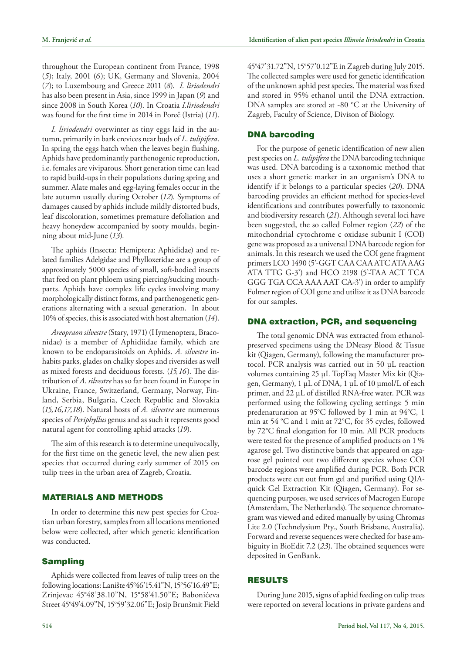throughout the European continent from France, 1998 (*5*); Italy, 2001 (*6*); UK, Germany and Slovenia, 2004 (*7*); to Luxembourg and Greece 2011 (*8*). *I. liriodendri* has also been present in Asia, since 1999 in Japan (*9*) and since 2008 in South Korea (*10*). In Croatia *I.liriodendri* was found for the first time in 2014 in Poreč (Istria) (*11*).

*I. liriodendri* overwinter as tiny eggs laid in the autumn, primarily in bark crevices near buds of *L. tulipifera*. In spring the eggs hatch when the leaves begin flushing. Aphids have predominantly parthenogenic reproduction, i.e. females are viviparous. Short generation time can lead to rapid build-ups in their populations during spring and summer. Alate males and egg-laying females occur in the late autumn usually during October (*12*). Symptoms of damages caused by aphids include mildly distorted buds, leaf discoloration, sometimes premature defoliation and heavy honeydew accompanied by sooty moulds, beginning about mid-June (*13*)*.*

The aphids (Insecta: Hemiptera: Aphididae) and related families Adelgidae and Phylloxeridae are a group of approximately 5000 species of small, soft-bodied insects that feed on plant phloem using piercing/sucking mouthparts. Aphids have complex life cycles involving many morphologically distinct forms, and parthenogenetic generations alternating with a sexual generation. In about 10% of species, this is associated with host alternation (*14*).

*Areopraon silvestre* (Stary, 1971) (Hymenoptera, Braconidae) is a member of Aphidiidae family, which are known to be endoparasitoids on Aphids. *A. silvestre* inhabits parks, glades on chalky slopes and riversides as well as mixed forests and deciduous forests. (*15,16*). The distribution of *A. silvestre* has so far been found in Europe in Ukraine, France, Switzerland, Germany, Norway, Finland, Serbia, Bulgaria, Czech Republic and Slovakia (*15,16,17,18*). Natural hosts of *A. silvestre* are numerous species of *Periphyllus* genus and as such it represents good natural agent for controlling aphid attacks (*19*).

The aim of this research is to determine unequivocally, for the first time on the genetic level, the new alien pest species that occurred during early summer of 2015 on tulip trees in the urban area of Zagreb, Croatia.

### MAterIAls And Methods

In order to determine this new pest species for Croatian urban forestry, samples from all locations mentioned below were collected, after which genetic identification was conducted.

### sampling

Aphids were collected from leaves of tulip trees on the following locations: Lanište 45°46'15.41"N, 15°56'16.49"E; Zrinjevac 45°48'38.10"N, 15°58'41.50"E; Babonićeva Street 45°49'4.09"N, 15°59'32.06"E; Josip Brunšmit Field 45°47'31.72"N, 15°57'0.12"E in Zagreb during July 2015. The collected samples were used for genetic identification of the unknown aphid pest species. The material was fixed and stored in 95% ethanol until the DNA extraction. DNA samples are stored at -80 °C at the University of Zagreb, Faculty of Science, Divison of Biology.

#### **DNA barcoding**

For the purpose of genetic identification of new alien pest species on *L. tulipifera* the DNA barcoding technique was used. DNA barcoding is a taxonomic method that uses a short genetic marker in an organism's DNA to identify if it belongs to a particular species (*20*). DNA barcoding provides an efficient method for species-level identifications and contributes powerfully to taxonomic and biodiversity research (*21*). Although several loci have been suggested, the so called Folmer region (*22*) of the mitochondrial cytochrome c oxidase subunit I (COI) gene was proposed as a universal DNA barcode region for animals. In this research we used the COI gene fragment primers LCO 1490 (5'-GGT CAA CAA ATC ATA AAG ATA TTG G-3') and HCO 2198 (5'-TAA ACT TCA GGG TGA CCA AAA AAT CA-3') in order to amplify Folmer region of COI gene and utilize it as DNA barcode for our samples.

#### DNA extraction, PCR, and sequencing

The total genomic DNA was extracted from ethanolpreserved specimens using the DNeasy Blood & Tissue kit (Qiagen, Germany), following the manufacturer protocol. PCR analysis was carried out in 50 µL reaction volumes containing 25 µL TopTaq Master Mix kit (Qiagen, Germany), 1 µL of DNA, 1 µL of 10 µmol/L of each primer, and 22 µL of distilled RNA-free water. PCR was performed using the following cycling settings: 5 min predenaturation at 95°C followed by 1 min at 94°C, 1 min at 54 °C and 1 min at 72°C, for 35 cycles, followed by 72°C final elongation for 10 min. All PCR products were tested for the presence of amplified products on 1 % agarose gel. Two distinctive bands that appeared on agarose gel pointed out two different species whose COI barcode regions were amplified during PCR. Both PCR products were cut out from gel and purified using QIAquick Gel Extraction Kit (Qiagen, Germany). For sequencing purposes, we used services of Macrogen Europe (Amsterdam, The Netherlands). The sequence chromatogram was viewed and edited manually by using Chromas Lite 2.0 (Technelysium Pty., South Brisbane, Australia). Forward and reverse sequences were checked for base ambiguity in BioEdit 7.2 (*23*). The obtained sequences were deposited in GenBank.

### **RESULTS**

During June 2015, signs of aphid feeding on tulip trees were reported on several locations in private gardens and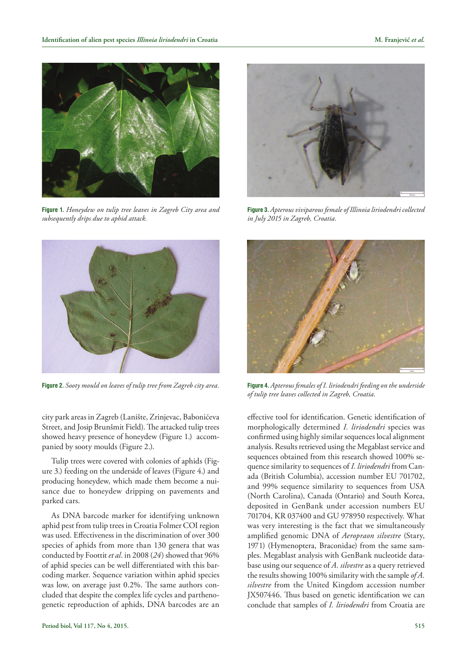

**Figure 1.** *Honeydew on tulip tree leaves in Zagreb City area and subsequently drips due to aphid attack.*



**Figure 2.** *Sooty mould on leaves of tulip tree from Zagreb city area.*

city park areas in Zagreb (Lanište, Zrinjevac, Babonićeva Street, and Josip Brunšmit Field). The attacked tulip trees showed heavy presence of honeydew (Figure 1.) accompanied by sooty moulds (Figure 2.).

Tulip trees were covered with colonies of aphids (Figure 3.) feeding on the underside of leaves (Figure 4.) and producing honeydew, which made them become a nuisance due to honeydew dripping on pavements and parked cars.

As DNA barcode marker for identifying unknown aphid pest from tulip trees in Croatia Folmer COI region was used. Effectiveness in the discrimination of over 300 species of aphids from more than 130 genera that was conducted by Foottit *et al*. in 2008 (*24*) showed that 96% of aphid species can be well differentiated with this barcoding marker. Sequence variation within aphid species was low, on average just 0.2%. The same authors concluded that despite the complex life cycles and parthenogenetic reproduction of aphids, DNA barcodes are an



**Figure 3.** *Apterous viviparous female of Illinoia liriodendri collected in July 2015 in Zagreb, Croatia.* 



**Figure 4.** *Apterous females of I. liriodendri feeding on the underside of tulip tree leaves collected in Zagreb, Croatia.*

effective tool for identification. Genetic identification of morphologically determined *I. liriodendri* species was confirmed using highly similar sequences local alignment analysis. Results retrieved using the Megablast service and sequences obtained from this research showed 100% sequence similarity to sequences of *I. liriodendri* from Canada (British Columbia), accession number EU 701702, and 99% sequence similarity to sequences from USA (North Carolina), Canada (Ontario) and South Korea, deposited in GenBank under accession numbers EU 701704, KR 037400 and GU 978950 respectively. What was very interesting is the fact that we simultaneously amplified genomic DNA of *Aeropraon silvestre* (Stary, 1971) (Hymenoptera, Braconidae) from the same samples. Megablast analysis with GenBank nucleotide database using our sequence of *A. silvestre* as a query retrieved the results showing 100% similarity with the sample *of A. silvestre* from the United Kingdom accession number JX507446. Thus based on genetic identification we can conclude that samples of *I. liriodendri* from Croatia are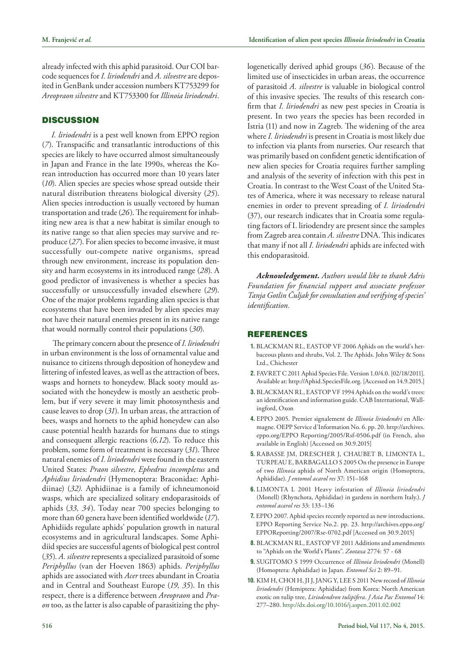already infected with this aphid parasitoid. Our COI barcode sequences for *I. liriodendri* and *A. silvestre* are deposited in GenBank under accession numbers KT753299 for *Areopraon silvestre* and KT753300 for *Illinoia liriodendri.*

#### **DISCUSSION**

*I. liriodendri* is a pest well known from EPPO region (*7*). Transpacific and transatlantic introductions of this species are likely to have occurred almost simultaneously in Japan and France in the late 1990s, whereas the Korean introduction has occurred more than 10 years later (*10*). Alien species are species whose spread outside their natural distribution threatens biological diversity (*25*). Alien species introduction is usually vectored by human transportation and trade (*26*). The requirement for inhabiting new area is that a new habitat is similar enough to its native range so that alien species may survive and reproduce (*27*). For alien species to become invasive, it must successfully out-compete native organisms, spread through new environment, increase its population density and harm ecosystems in its introduced range (*28*). A good predictor of invasiveness is whether a species has successfully or unsuccessfully invaded elsewhere (*29*). One of the major problems regarding alien species is that ecosystems that have been invaded by alien species may not have their natural enemies present in its native range that would normally control their populations (*30*).

 The primary concern about the presence of *I. liriodendri* in urban environment is the loss of ornamental value and nuisance to citizens through deposition of honeydew and littering of infested leaves, as well as the attraction of bees, wasps and hornets to honeydew. Black sooty mould associated with the honeydew is mostly an aesthetic problem, but if very severe it may limit photosynthesis and cause leaves to drop (*31*). In urban areas, the attraction of bees, wasps and hornets to the aphid honeydew can also cause potential health hazards for humans due to stings and consequent allergic reactions (*6,12*). To reduce this problem, some form of treatment is necessary (*31*). Three natural enemies of *I. liriodendri* were found in the eastern United States: *Praon silvestre*, *Ephedrus incompletus* and *Aphidius liriodendri* (Hymenoptera: Braconidae: Aphidiinae) (*32).* Aphidiinae is a family of ichneumonoid wasps, which are specialized solitary endoparasitoids of aphids (*33, 34*). Today near 700 species belonging to more than 60 genera have been identified worldwide (*17*). Aphidiids regulate aphids' population growth in natural ecosystems and in agricultural landscapes. Some Aphidiid species are successful agents of biological pest control (*35*). *A. silvestre* represents a specialized parasitoid of some *Periphyllus* (van der Hoeven 1863) aphids. *Periphyllus* aphids are associated with *Acer* trees abundant in Croatia and in Central and Southeast Europe (*19, 35*). In this respect, there is a difference between *Areopraon* and *Praon* too, as the latter is also capable of parasitizing the phylogenetically derived aphid groups (*36*). Because of the limited use of insecticides in urban areas, the occurrence of parasitoid *A. silvestre* is valuable in biological control of this invasive species. The results of this research confirm that *I. liriodendri* as new pest species in Croatia is present. In two years the species has been recorded in Istria (11) and now in Zagreb. The widening of the area where *I. liriodendri* is present in Croatia is most likely due to infection via plants from nurseries. Our research that was primarily based on confident genetic identification of new alien species for Croatia requires further sampling and analysis of the severity of infection with this pest in Croatia. In contrast to the West Coast of the United States of America, where it was necessary to release natural enemies in order to prevent spreading of *I. liriodendri* (37), our research indicates that in Croatia some regulating factors of I. liriodendry are present since the samples from Zagreb area contain *A. silvestre* DNA. This indicates that many if not all *I. liriodendri* aphids are infected with this endoparasitoid.

*Acknowledgement. Authors would like to thank Adris Foundation for financial support and associate professor Tanja Gotlin Čuljak for consultation and verifying of species' identification.*

#### **REFERENCES**

- **1.** BLACKMAN RL, EASTOP VF 2006 Aphids on the world's herbaceous plants and shrubs, Vol. 2. The Aphids. John Wiley & Sons Ltd., Chichester
- **2.** FAVRET C 2011 Aphid Species File. Version 1.0/4.0. [02/18/2011]. Available at: http://Aphid.SpeciesFile.org. [Accessed on 14.9.2015.]
- **3.** BLACKMAN RL, EASTOP VF 1994 Aphids on the world's trees: an identification and information guide. CAB International, Wallingford, Oxon
- **4.** EPPO 2005. Premier signalement de *Illinoia liriodendri* en Allemagne. OEPP Service d'Information No. 6. pp. 20. http://archives. eppo.org/EPPO Reporting/2005/Rsf-0506.pdf (in French, also available in English) [Accessed on 30.9.2015]
- **5.** RABASSE JM, DRESCHER J, CHAUBET B, LIMONTA L, TURPEAU E, BARBAGALLO S 2005 On the presence in Europe of two *Illinoia* aphids of North American origin (Homoptera, Aphididae). *J entomol acarol res* 37: 151–168
- **6.** LIMONTA L 2001 Heavy infestation of *Illinoia liriodendri* (Monell) (Rhynchota, Aphididae) in gardens in northern Italy.). *J entomol acarol res* 33: 133–136
- **7.** EPPO 2007. Aphid species recently reported as new introductions. EPPO Reporting Service No.2. pp. 23. http://archives.eppo.org/ EPPOReporting/2007/Rse-0702.pdf [Accessed on 30.9.2015]
- **8.** BLACKMAN RL, EASTOP VF 2011 Additions and amendments to "Aphids on the World's Plants". *Zootaxa* 2774: 57 - 68
- **9.** SUGITOMO S 1999 Occurrence of *Illinoia liriodendri* (Monell) (Homoptera: Aphididae) in Japan. *Entomol Sci* 2: 89–91.
- **10.** KIM H, CHOI H, JI J, JANG Y, LEE S 2011 New record of *Illinoia liriodendri* (Hemiptera: Aphididae) from Korea: North American exotic on tulip tree, *Liriodendron tulipifera*. *J Asia Pac Entomol* 14: 277–280.<http://dx.doi.org/10.1016/j.aspen.2011.02.002>